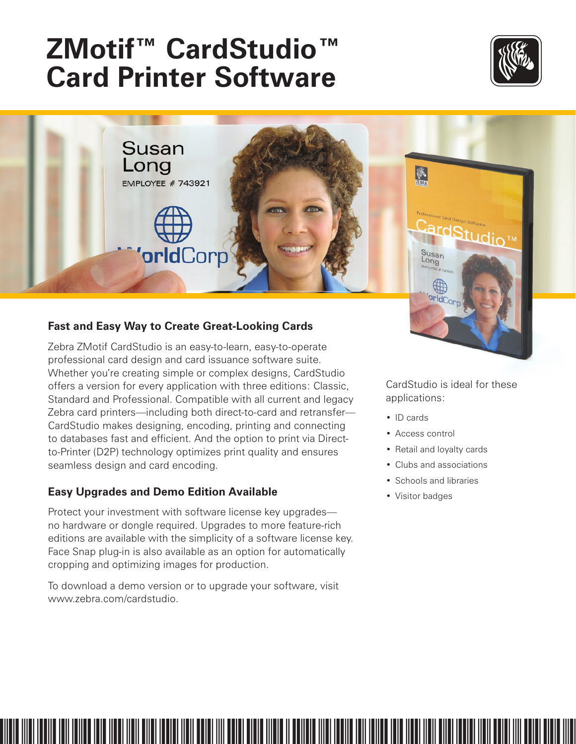# **ZMotif™ CardStudio™ Card Printer Software**





## **Fast and Easy Way to Create Great-Looking Cards**

Zebra ZMotif CardStudio is an easy-to-learn, easy-to-operate professional card design and card issuance software suite. Whether you're creating simple or complex designs, CardStudio offers a version for every application with three editions: Classic, Standard and Professional. Compatible with all current and legacy Zebra card printers—including both direct-to-card and retransfer— CardStudio makes designing, encoding, printing and connecting to databases fast and efficient. And the option to print via Directto-Printer (D2P) technology optimizes print quality and ensures seamless design and card encoding.

### **Easy Upgrades and Demo Edition Available**

Protect your investment with software license key upgrades no hardware or dongle required. Upgrades to more feature-rich editions are available with the simplicity of a software license key. Face Snap plug-in is also available as an option for automatically cropping and optimizing images for production.

To download a demo version or to upgrade your software, visit www.zebra.com/cardstudio.

CardStudio is ideal for these applications:

- ID cards
- Access control
- Retail and loyalty cards
- Clubs and associations
- Schools and libraries
- Visitor badges